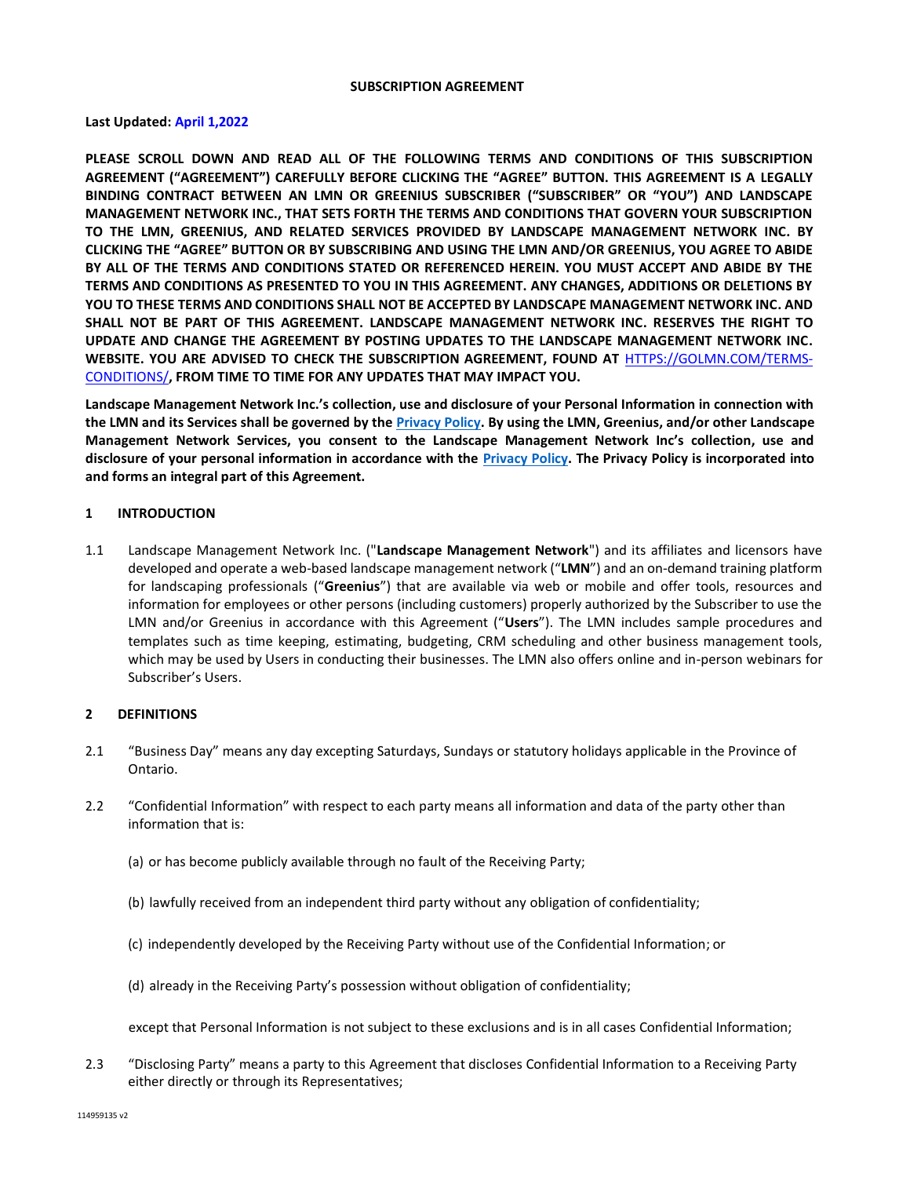#### **SUBSCRIPTION AGREEMENT**

## **Last Updated: April 1,2022**

**PLEASE SCROLL DOWN AND READ ALL OF THE FOLLOWING TERMS AND CONDITIONS OF THIS SUBSCRIPTION AGREEMENT ("AGREEMENT") CAREFULLY BEFORE CLICKING THE "AGREE" BUTTON. THIS AGREEMENT IS A LEGALLY BINDING CONTRACT BETWEEN AN LMN OR GREENIUS SUBSCRIBER ("SUBSCRIBER" OR "YOU") AND LANDSCAPE MANAGEMENT NETWORK INC., THAT SETS FORTH THE TERMS AND CONDITIONS THAT GOVERN YOUR SUBSCRIPTION TO THE LMN, GREENIUS, AND RELATED SERVICES PROVIDED BY LANDSCAPE MANAGEMENT NETWORK INC. BY CLICKING THE "AGREE" BUTTON OR BY SUBSCRIBING AND USING THE LMN AND/OR GREENIUS, YOU AGREE TO ABIDE BY ALL OF THE TERMS AND CONDITIONS STATED OR REFERENCED HEREIN. YOU MUST ACCEPT AND ABIDE BY THE TERMS AND CONDITIONS AS PRESENTED TO YOU IN THIS AGREEMENT. ANY CHANGES, ADDITIONS OR DELETIONS BY YOU TO THESE TERMS AND CONDITIONS SHALL NOT BE ACCEPTED BY LANDSCAPE MANAGEMENT NETWORK INC. AND SHALL NOT BE PART OF THIS AGREEMENT. LANDSCAPE MANAGEMENT NETWORK INC. RESERVES THE RIGHT TO UPDATE AND CHANGE THE AGREEMENT BY POSTING UPDATES TO THE LANDSCAPE MANAGEMENT NETWORK INC. WEBSITE. YOU ARE ADVISED TO CHECK THE SUBSCRIPTION AGREEMENT, FOUND AT** [HTTPS://GOLMN.COM/TERMS-](https://golmn.com/terms-conditions/)[CONDITIONS/](https://golmn.com/terms-conditions/)**, FROM TIME TO TIME FOR ANY UPDATES THAT MAY IMPACT YOU.**

**Landscape Management Network Inc.'s collection, use and disclosure of your Personal Information in connection with the LMN and its Services shall be governed by th[e Privacy Policy.](https://golmn.com/privacypolicy/) By using the LMN, Greenius, and/or other Landscape Management Network Services, you consent to the Landscape Management Network Inc's collection, use and disclosure of your personal information in accordance with the [Privacy Policy.](https://golmn.com/privacypolicy/) The Privacy Policy is incorporated into and forms an integral part of this Agreement.**

### **1 INTRODUCTION**

1.1 Landscape Management Network Inc. ("**Landscape Management Network**") and its affiliates and licensors have developed and operate a web-based landscape management network ("**LMN**") and an on-demand training platform for landscaping professionals ("**Greenius**") that are available via web or mobile and offer tools, resources and information for employees or other persons (including customers) properly authorized by the Subscriber to use the LMN and/or Greenius in accordance with this Agreement ("**Users**"). The LMN includes sample procedures and templates such as time keeping, estimating, budgeting, CRM scheduling and other business management tools, which may be used by Users in conducting their businesses. The LMN also offers online and in-person webinars for Subscriber's Users.

### **2 DEFINITIONS**

- 2.1 "Business Day" means any day excepting Saturdays, Sundays or statutory holidays applicable in the Province of Ontario.
- 2.2 "Confidential Information" with respect to each party means all information and data of the party other than information that is:
	- (a) or has become publicly available through no fault of the Receiving Party;
	- (b) lawfully received from an independent third party without any obligation of confidentiality;
	- (c) independently developed by the Receiving Party without use of the Confidential Information; or
	- (d) already in the Receiving Party's possession without obligation of confidentiality;

except that Personal Information is not subject to these exclusions and is in all cases Confidential Information;

2.3 "Disclosing Party" means a party to this Agreement that discloses Confidential Information to a Receiving Party either directly or through its Representatives;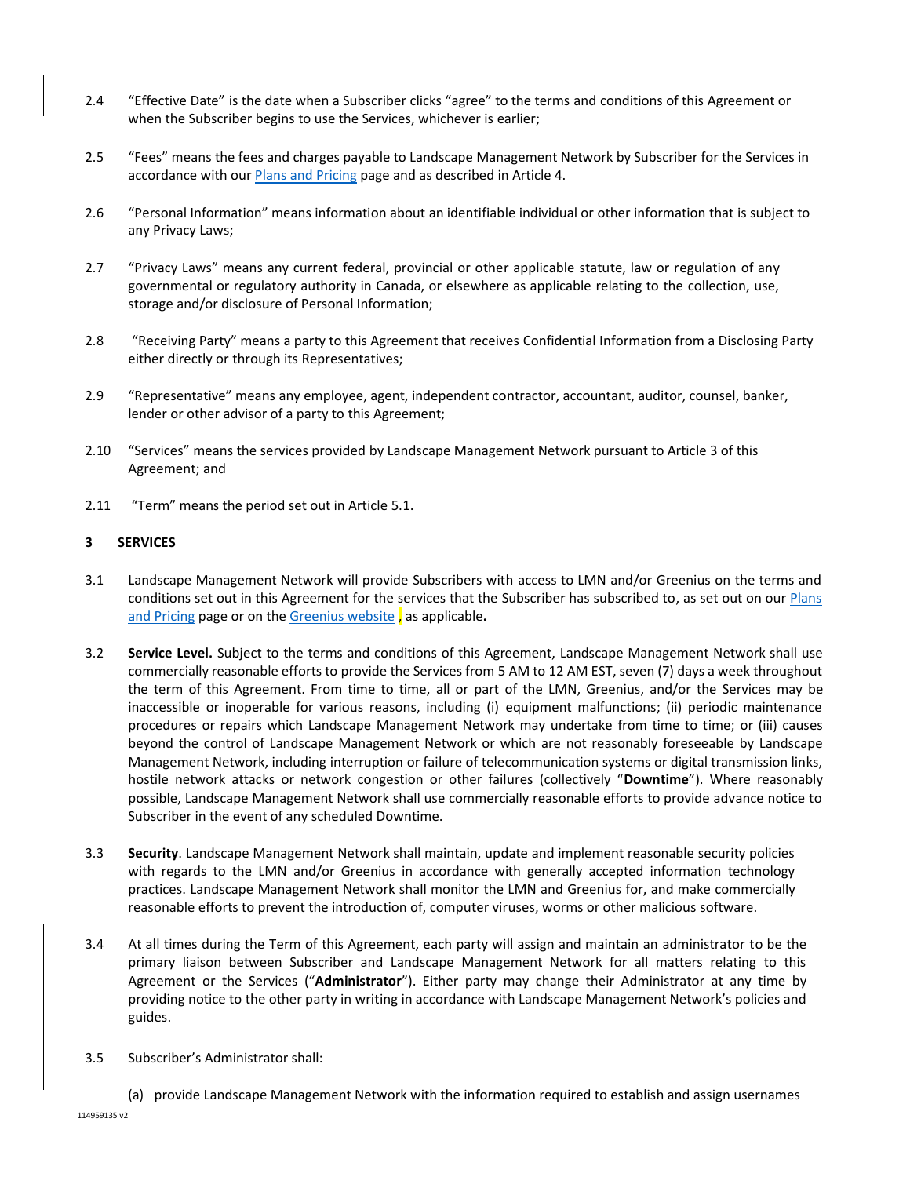- 2.4 "Effective Date" is the date when a Subscriber clicks "agree" to the terms and conditions of this Agreement or when the Subscriber begins to use the Services, whichever is earlier;
- 2.5 "Fees" means the fees and charges payable to Landscape Management Network by Subscriber for the Services in accordance with ou[r Plans and Pricing](https://golmn.com/pricing/) page and as described in Article 4.
- 2.6 "Personal Information" means information about an identifiable individual or other information that is subject to any Privacy Laws;
- 2.7 "Privacy Laws" means any current federal, provincial or other applicable statute, law or regulation of any governmental or regulatory authority in Canada, or elsewhere as applicable relating to the collection, use, storage and/or disclosure of Personal Information;
- 2.8 "Receiving Party" means a party to this Agreement that receives Confidential Information from a Disclosing Party either directly or through its Representatives;
- 2.9 "Representative" means any employee, agent, independent contractor, accountant, auditor, counsel, banker, lender or other advisor of a party to this Agreement;
- 2.10 "Services" means the services provided by Landscape Management Network pursuant to Article 3 of this Agreement; and
- 2.11 "Term" means the period set out in Article 5.1.

### **3 SERVICES**

- 3.1 Landscape Management Network will provide Subscribers with access to LMN and/or Greenius on the terms and conditions set out in this Agreement for the services that the Subscriber has subscribed to, as set out on our Plans [and Pricing](https://golmn.com/pricing/) page or on the [Greenius website](https://www.gogreenius.com/pricing/) , as applicable**.**
- 3.2 **Service Level.** Subject to the terms and conditions of this Agreement, Landscape Management Network shall use commercially reasonable efforts to provide the Services from 5 AM to 12 AM EST, seven (7) days a week throughout the term of this Agreement. From time to time, all or part of the LMN, Greenius, and/or the Services may be inaccessible or inoperable for various reasons, including (i) equipment malfunctions; (ii) periodic maintenance procedures or repairs which Landscape Management Network may undertake from time to time; or (iii) causes beyond the control of Landscape Management Network or which are not reasonably foreseeable by Landscape Management Network, including interruption or failure of telecommunication systems or digital transmission links, hostile network attacks or network congestion or other failures (collectively "**Downtime**"). Where reasonably possible, Landscape Management Network shall use commercially reasonable efforts to provide advance notice to Subscriber in the event of any scheduled Downtime.
- 3.3 **Security**. Landscape Management Network shall maintain, update and implement reasonable security policies with regards to the LMN and/or Greenius in accordance with generally accepted information technology practices. Landscape Management Network shall monitor the LMN and Greenius for, and make commercially reasonable efforts to prevent the introduction of, computer viruses, worms or other malicious software.
- 3.4 At all times during the Term of this Agreement, each party will assign and maintain an administrator to be the primary liaison between Subscriber and Landscape Management Network for all matters relating to this Agreement or the Services ("**Administrator**"). Either party may change their Administrator at any time by providing notice to the other party in writing in accordance with Landscape Management Network's policies and guides.
- 3.5 Subscriber's Administrator shall:
	- (a) provide Landscape Management Network with the information required to establish and assign usernames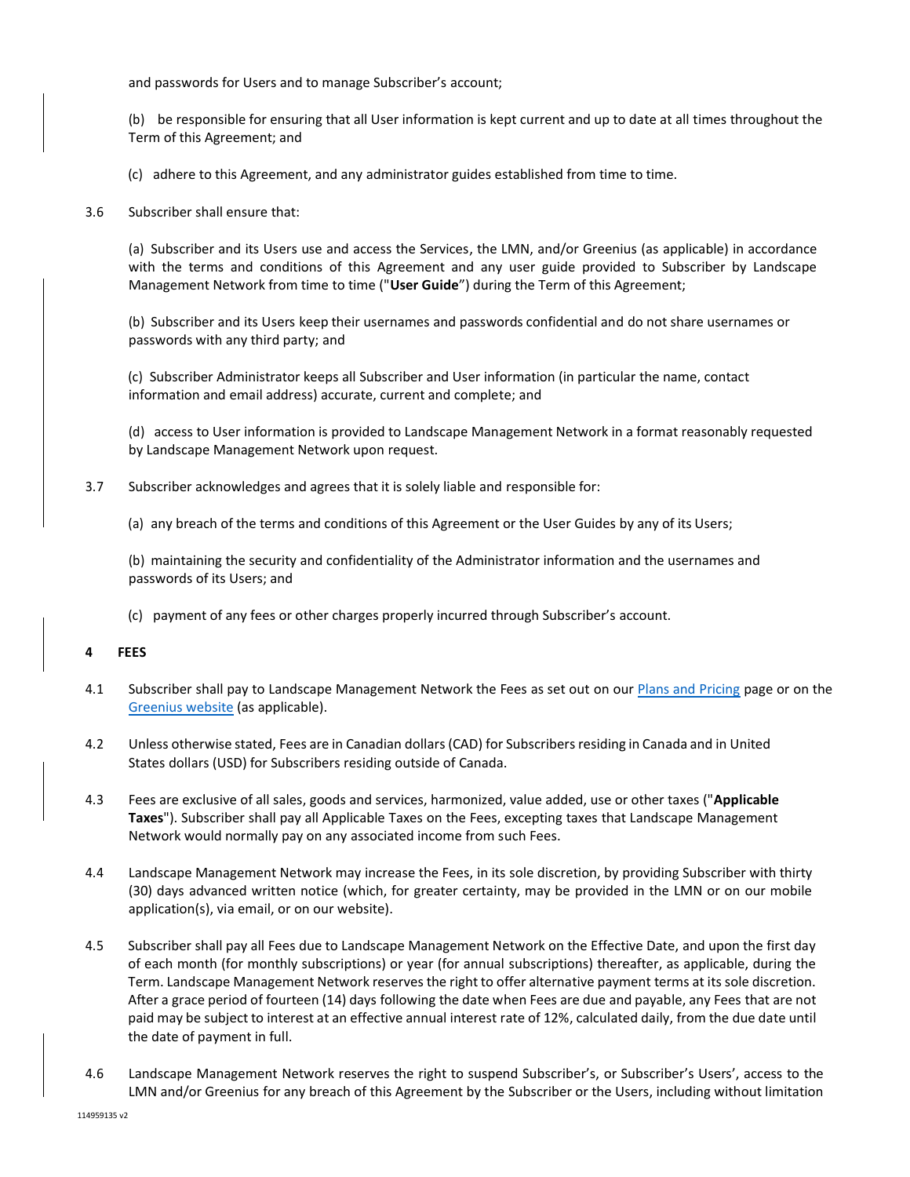and passwords for Users and to manage Subscriber's account;

(b) be responsible for ensuring that all User information is kept current and up to date at all times throughout the Term of this Agreement; and

(c) adhere to this Agreement, and any administrator guides established from time to time.

3.6 Subscriber shall ensure that:

(a) Subscriber and its Users use and access the Services, the LMN, and/or Greenius (as applicable) in accordance with the terms and conditions of this Agreement and any user guide provided to Subscriber by Landscape Management Network from time to time ("**User Guide**") during the Term of this Agreement;

(b) Subscriber and its Users keep their usernames and passwords confidential and do not share usernames or passwords with any third party; and

(c) Subscriber Administrator keeps all Subscriber and User information (in particular the name, contact information and email address) accurate, current and complete; and

(d) access to User information is provided to Landscape Management Network in a format reasonably requested by Landscape Management Network upon request.

- 3.7 Subscriber acknowledges and agrees that it is solely liable and responsible for:
	- (a) any breach of the terms and conditions of this Agreement or the User Guides by any of its Users;

(b) maintaining the security and confidentiality of the Administrator information and the usernames and passwords of its Users; and

(c) payment of any fees or other charges properly incurred through Subscriber's account.

### **4 FEES**

- 4.1 Subscriber shall pay to Landscape Management Network the Fees as set out on ou[r Plans and Pricing](https://golmn.com/pricing/) page or on the [Greenius website](https://www.gogreenius.com/pricing/) (as applicable).
- 4.2 Unless otherwise stated, Fees are in Canadian dollars(CAD) for Subscribersresiding in Canada and in United States dollars (USD) for Subscribers residing outside of Canada.
- 4.3 Fees are exclusive of all sales, goods and services, harmonized, value added, use or other taxes ("**Applicable Taxes**"). Subscriber shall pay all Applicable Taxes on the Fees, excepting taxes that Landscape Management Network would normally pay on any associated income from such Fees.
- 4.4 Landscape Management Network may increase the Fees, in its sole discretion, by providing Subscriber with thirty (30) days advanced written notice (which, for greater certainty, may be provided in the LMN or on our mobile application(s), via email, or on our website).
- 4.5 Subscriber shall pay all Fees due to Landscape Management Network on the Effective Date, and upon the first day of each month (for monthly subscriptions) or year (for annual subscriptions) thereafter, as applicable, during the Term. Landscape Management Network reserves the right to offer alternative payment terms at its sole discretion. After a grace period of fourteen (14) days following the date when Fees are due and payable, any Fees that are not paid may be subject to interest at an effective annual interest rate of 12%, calculated daily, from the due date until the date of payment in full.
- 4.6 Landscape Management Network reserves the right to suspend Subscriber's, or Subscriber's Users', access to the LMN and/or Greenius for any breach of this Agreement by the Subscriber or the Users, including without limitation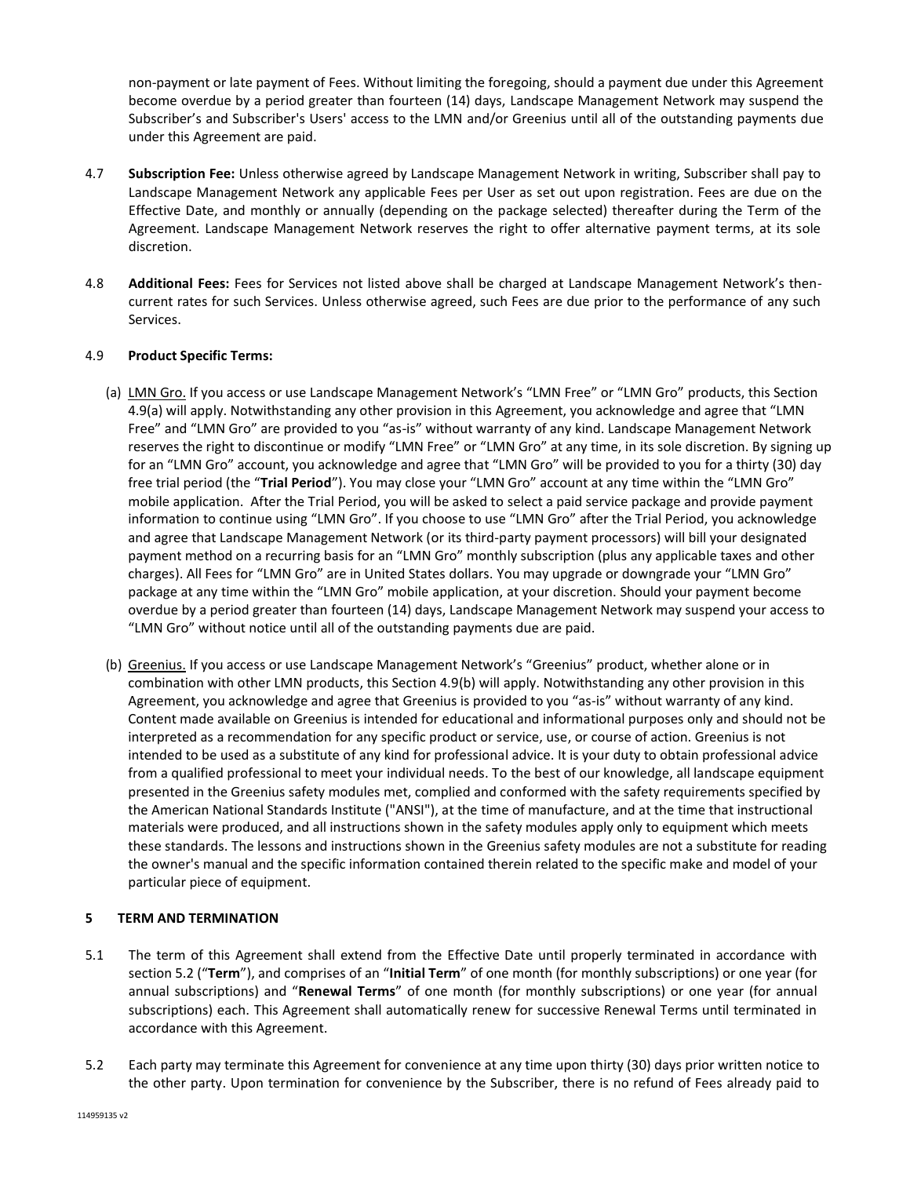non-payment or late payment of Fees. Without limiting the foregoing, should a payment due under this Agreement become overdue by a period greater than fourteen (14) days, Landscape Management Network may suspend the Subscriber's and Subscriber's Users' access to the LMN and/or Greenius until all of the outstanding payments due under this Agreement are paid.

- 4.7 **Subscription Fee:** Unless otherwise agreed by Landscape Management Network in writing, Subscriber shall pay to Landscape Management Network any applicable Fees per User as set out upon registration. Fees are due on the Effective Date, and monthly or annually (depending on the package selected) thereafter during the Term of the Agreement. Landscape Management Network reserves the right to offer alternative payment terms, at its sole discretion.
- 4.8 **Additional Fees:** Fees for Services not listed above shall be charged at Landscape Management Network's thencurrent rates for such Services. Unless otherwise agreed, such Fees are due prior to the performance of any such Services.

## 4.9 **Product Specific Terms:**

- (a) LMN Gro. If you access or use Landscape Management Network's "LMN Free" or "LMN Gro" products, this Section 4.9(a) will apply. Notwithstanding any other provision in this Agreement, you acknowledge and agree that "LMN Free" and "LMN Gro" are provided to you "as-is" without warranty of any kind. Landscape Management Network reserves the right to discontinue or modify "LMN Free" or "LMN Gro" at any time, in its sole discretion. By signing up for an "LMN Gro" account, you acknowledge and agree that "LMN Gro" will be provided to you for a thirty (30) day free trial period (the "**Trial Period**"). You may close your "LMN Gro" account at any time within the "LMN Gro" mobile application. After the Trial Period, you will be asked to select a paid service package and provide payment information to continue using "LMN Gro". If you choose to use "LMN Gro" after the Trial Period, you acknowledge and agree that Landscape Management Network (or its third-party payment processors) will bill your designated payment method on a recurring basis for an "LMN Gro" monthly subscription (plus any applicable taxes and other charges). All Fees for "LMN Gro" are in United States dollars. You may upgrade or downgrade your "LMN Gro" package at any time within the "LMN Gro" mobile application, at your discretion. Should your payment become overdue by a period greater than fourteen (14) days, Landscape Management Network may suspend your access to "LMN Gro" without notice until all of the outstanding payments due are paid.
- (b) Greenius. If you access or use Landscape Management Network's "Greenius" product, whether alone or in combination with other LMN products, this Section 4.9(b) will apply. Notwithstanding any other provision in this Agreement, you acknowledge and agree that Greenius is provided to you "as-is" without warranty of any kind. Content made available on Greenius is intended for educational and informational purposes only and should not be interpreted as a recommendation for any specific product or service, use, or course of action. Greenius is not intended to be used as a substitute of any kind for professional advice. It is your duty to obtain professional advice from a qualified professional to meet your individual needs. To the best of our knowledge, all landscape equipment presented in the Greenius safety modules met, complied and conformed with the safety requirements specified by the American National Standards Institute ("ANSI"), at the time of manufacture, and at the time that instructional materials were produced, and all instructions shown in the safety modules apply only to equipment which meets these standards. The lessons and instructions shown in the Greenius safety modules are not a substitute for reading the owner's manual and the specific information contained therein related to the specific make and model of your particular piece of equipment.

## **5 TERM AND TERMINATION**

- 5.1 The term of this Agreement shall extend from the Effective Date until properly terminated in accordance with section 5.2 ("**Term**"), and comprises of an "**Initial Term**" of one month (for monthly subscriptions) or one year (for annual subscriptions) and "**Renewal Terms**" of one month (for monthly subscriptions) or one year (for annual subscriptions) each. This Agreement shall automatically renew for successive Renewal Terms until terminated in accordance with this Agreement.
- 5.2 Each party may terminate this Agreement for convenience at any time upon thirty (30) days prior written notice to the other party. Upon termination for convenience by the Subscriber, there is no refund of Fees already paid to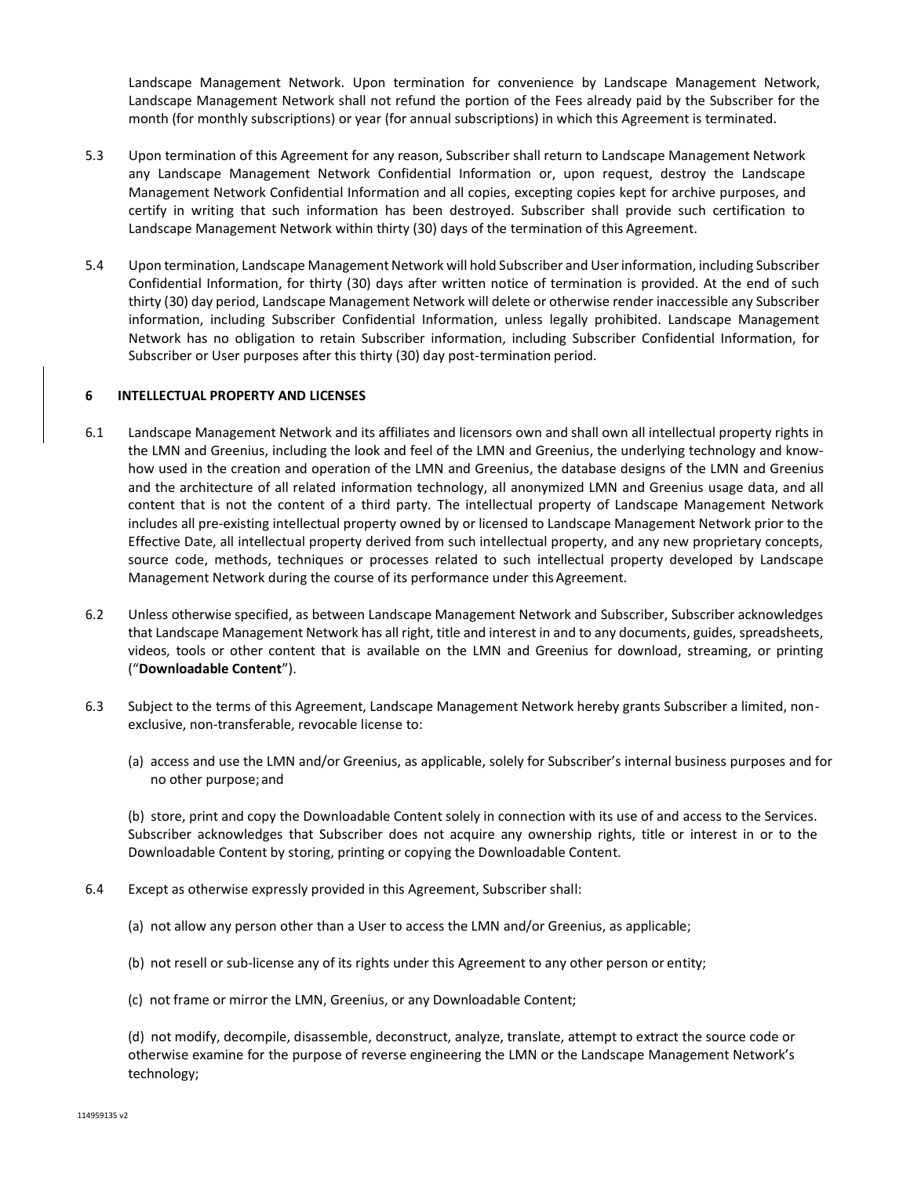Landscape Management Network. Upon termination for convenience by Landscape Management Network, Landscape Management Network shall not refund the portion of the Fees already paid by the Subscriber for the month (for monthly subscriptions) or year (for annual subscriptions) in which this Agreement is terminated.

- 5.3 Upon termination of this Agreement for any reason, Subscriber shall return to Landscape Management Network any Landscape Management Network Confidential Information or, upon request, destroy the Landscape Management Network Confidential Information and all copies, excepting copies kept for archive purposes, and certify in writing that such information has been destroyed. Subscriber shall provide such certification to Landscape Management Network within thirty (30) days of the termination of this Agreement.
- 5.4 Upon termination, Landscape Management Network will hold Subscriber and User information, including Subscriber Confidential Information, for thirty (30) days after written notice of termination is provided. At the end of such thirty (30) day period, Landscape Management Network will delete or otherwise render inaccessible any Subscriber information, including Subscriber Confidential Information, unless legally prohibited. Landscape Management Network has no obligation to retain Subscriber information, including Subscriber Confidential Information, for Subscriber or User purposes after this thirty (30) day post-termination period.

### **6 INTELLECTUAL PROPERTY AND LICENSES**

- 6.1 Landscape Management Network and its affiliates and licensors own and shall own all intellectual property rights in the LMN and Greenius, including the look and feel of the LMN and Greenius, the underlying technology and knowhow used in the creation and operation of the LMN and Greenius, the database designs of the LMN and Greenius and the architecture of all related information technology, all anonymized LMN and Greenius usage data, and all content that is not the content of a third party. The intellectual property of Landscape Management Network includes all pre-existing intellectual property owned by or licensed to Landscape Management Network prior to the Effective Date, all intellectual property derived from such intellectual property, and any new proprietary concepts, source code, methods, techniques or processes related to such intellectual property developed by Landscape Management Network during the course of its performance under this Agreement.
- 6.2 Unless otherwise specified, as between Landscape Management Network and Subscriber, Subscriber acknowledges that Landscape Management Network has all right, title and interest in and to any documents, guides, spreadsheets, videos, tools or other content that is available on the LMN and Greenius for download, streaming, or printing ("**Downloadable Content**").
- 6.3 Subject to the terms of this Agreement, Landscape Management Network hereby grants Subscriber a limited, nonexclusive, non-transferable, revocable license to:
	- (a) access and use the LMN and/or Greenius, as applicable, solely for Subscriber's internal business purposes and for no other purpose;and

(b) store, print and copy the Downloadable Content solely in connection with its use of and access to the Services. Subscriber acknowledges that Subscriber does not acquire any ownership rights, title or interest in or to the Downloadable Content by storing, printing or copying the Downloadable Content.

- 6.4 Except as otherwise expressly provided in this Agreement, Subscriber shall:
	- (a) not allow any person other than a User to access the LMN and/or Greenius, as applicable;
	- (b) not resell or sub-license any of its rights under this Agreement to any other person or entity;
	- (c) not frame or mirror the LMN, Greenius, or any Downloadable Content;

(d) not modify, decompile, disassemble, deconstruct, analyze, translate, attempt to extract the source code or otherwise examine for the purpose of reverse engineering the LMN or the Landscape Management Network's technology;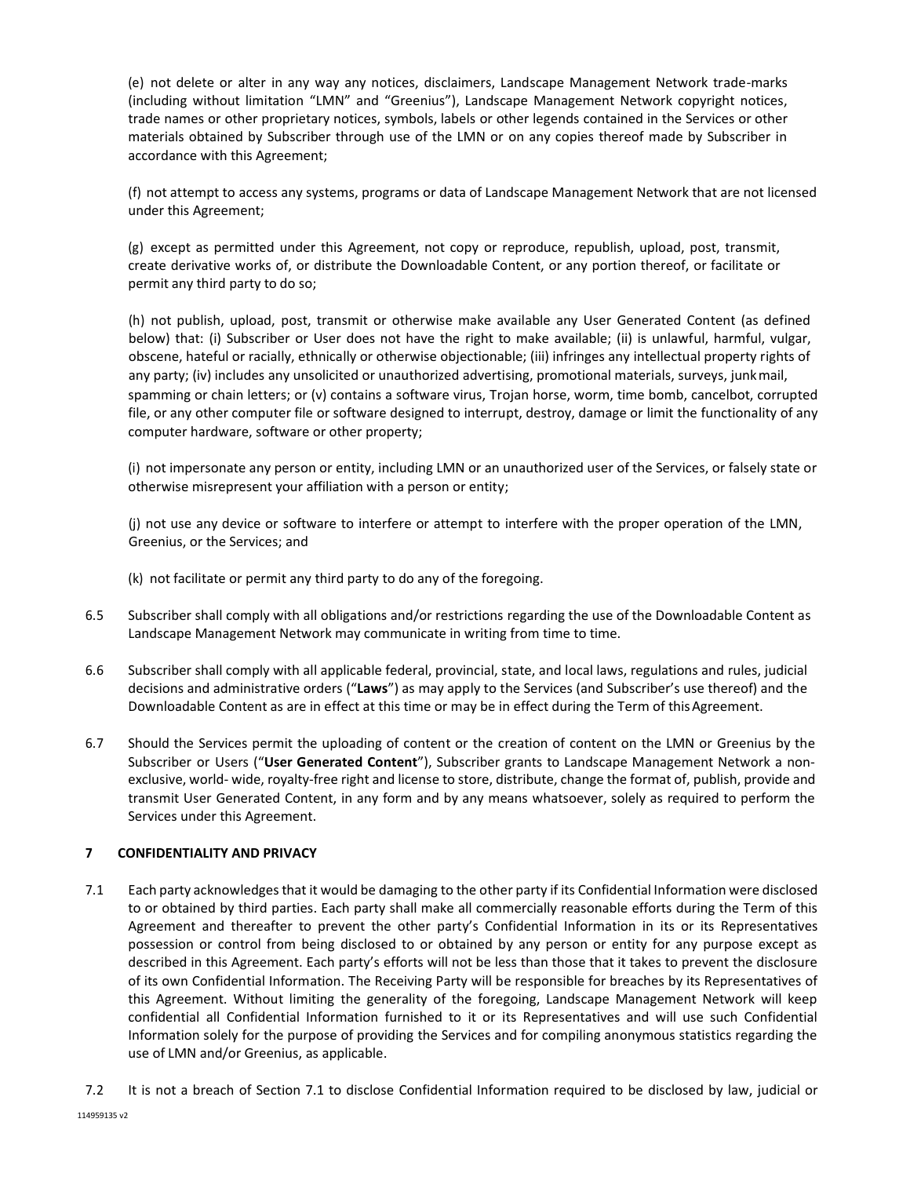(e) not delete or alter in any way any notices, disclaimers, Landscape Management Network trade-marks (including without limitation "LMN" and "Greenius"), Landscape Management Network copyright notices, trade names or other proprietary notices, symbols, labels or other legends contained in the Services or other materials obtained by Subscriber through use of the LMN or on any copies thereof made by Subscriber in accordance with this Agreement;

(f) not attempt to access any systems, programs or data of Landscape Management Network that are not licensed under this Agreement;

(g) except as permitted under this Agreement, not copy or reproduce, republish, upload, post, transmit, create derivative works of, or distribute the Downloadable Content, or any portion thereof, or facilitate or permit any third party to do so;

(h) not publish, upload, post, transmit or otherwise make available any User Generated Content (as defined below) that: (i) Subscriber or User does not have the right to make available; (ii) is unlawful, harmful, vulgar, obscene, hateful or racially, ethnically or otherwise objectionable; (iii) infringes any intellectual property rights of any party; (iv) includes any unsolicited or unauthorized advertising, promotional materials, surveys, junkmail, spamming or chain letters; or (v) contains a software virus, Trojan horse, worm, time bomb, cancelbot, corrupted file, or any other computer file or software designed to interrupt, destroy, damage or limit the functionality of any computer hardware, software or other property;

(i) not impersonate any person or entity, including LMN or an unauthorized user of the Services, or falsely state or otherwise misrepresent your affiliation with a person or entity;

(j) not use any device or software to interfere or attempt to interfere with the proper operation of the LMN, Greenius, or the Services; and

- (k) not facilitate or permit any third party to do any of the foregoing.
- 6.5 Subscriber shall comply with all obligations and/or restrictions regarding the use of the Downloadable Content as Landscape Management Network may communicate in writing from time to time.
- 6.6 Subscriber shall comply with all applicable federal, provincial, state, and local laws, regulations and rules, judicial decisions and administrative orders ("**Laws**") as may apply to the Services (and Subscriber's use thereof) and the Downloadable Content as are in effect at this time or may be in effect during the Term of this Agreement.
- 6.7 Should the Services permit the uploading of content or the creation of content on the LMN or Greenius by the Subscriber or Users ("**User Generated Content**"), Subscriber grants to Landscape Management Network a nonexclusive, world- wide, royalty-free right and license to store, distribute, change the format of, publish, provide and transmit User Generated Content, in any form and by any means whatsoever, solely as required to perform the Services under this Agreement.

# **7 CONFIDENTIALITY AND PRIVACY**

- 7.1 Each party acknowledges that it would be damaging to the other party if its Confidential Information were disclosed to or obtained by third parties. Each party shall make all commercially reasonable efforts during the Term of this Agreement and thereafter to prevent the other party's Confidential Information in its or its Representatives possession or control from being disclosed to or obtained by any person or entity for any purpose except as described in this Agreement. Each party's efforts will not be less than those that it takes to prevent the disclosure of its own Confidential Information. The Receiving Party will be responsible for breaches by its Representatives of this Agreement. Without limiting the generality of the foregoing, Landscape Management Network will keep confidential all Confidential Information furnished to it or its Representatives and will use such Confidential Information solely for the purpose of providing the Services and for compiling anonymous statistics regarding the use of LMN and/or Greenius, as applicable.
- 7.2 It is not a breach of Section 7.1 to disclose Confidential Information required to be disclosed by law, judicial or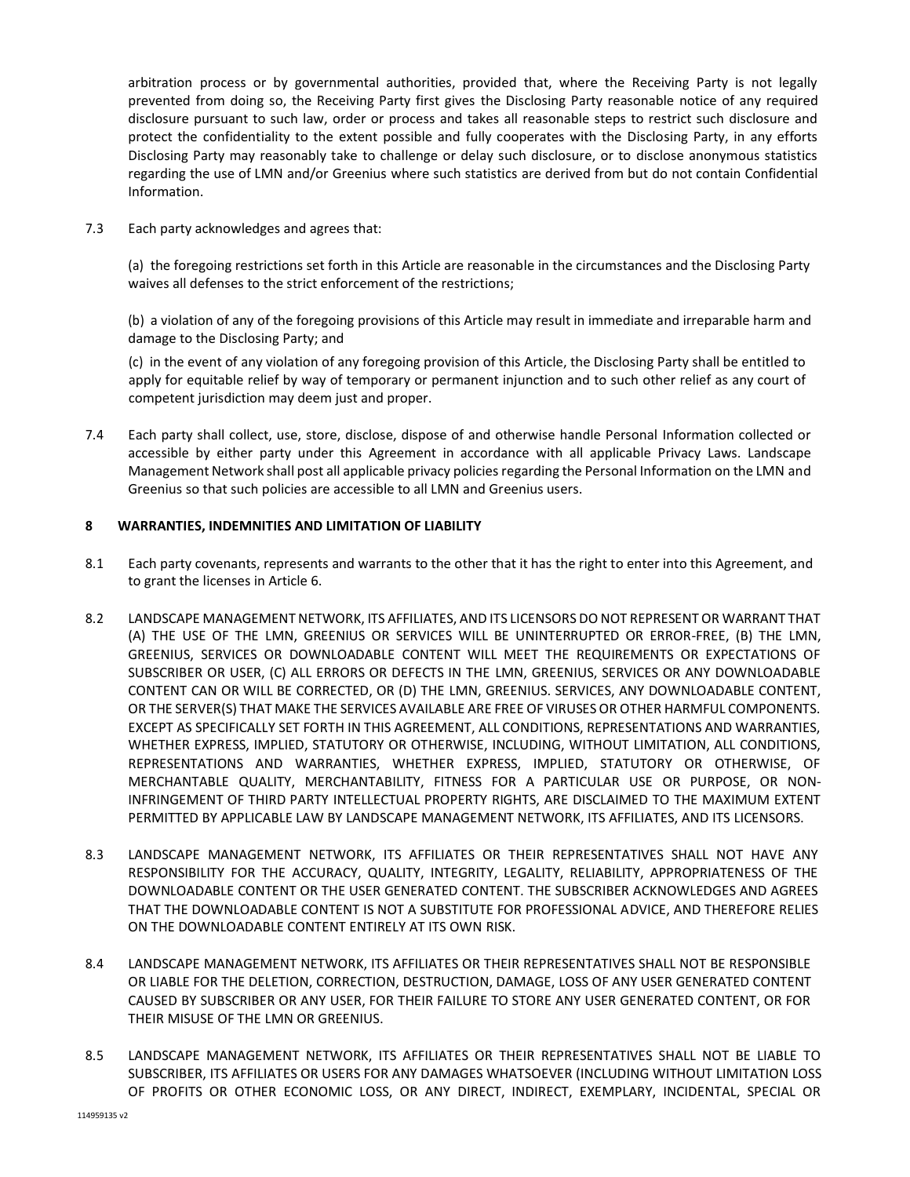arbitration process or by governmental authorities, provided that, where the Receiving Party is not legally prevented from doing so, the Receiving Party first gives the Disclosing Party reasonable notice of any required disclosure pursuant to such law, order or process and takes all reasonable steps to restrict such disclosure and protect the confidentiality to the extent possible and fully cooperates with the Disclosing Party, in any efforts Disclosing Party may reasonably take to challenge or delay such disclosure, or to disclose anonymous statistics regarding the use of LMN and/or Greenius where such statistics are derived from but do not contain Confidential Information.

7.3 Each party acknowledges and agrees that:

(a) the foregoing restrictions set forth in this Article are reasonable in the circumstances and the Disclosing Party waives all defenses to the strict enforcement of the restrictions;

(b) a violation of any of the foregoing provisions of this Article may result in immediate and irreparable harm and damage to the Disclosing Party; and

(c) in the event of any violation of any foregoing provision of this Article, the Disclosing Party shall be entitled to apply for equitable relief by way of temporary or permanent injunction and to such other relief as any court of competent jurisdiction may deem just and proper.

7.4 Each party shall collect, use, store, disclose, dispose of and otherwise handle Personal Information collected or accessible by either party under this Agreement in accordance with all applicable Privacy Laws. Landscape Management Network shall post all applicable privacy policies regarding the Personal Information on the LMN and Greenius so that such policies are accessible to all LMN and Greenius users.

## **8 WARRANTIES, INDEMNITIES AND LIMITATION OF LIABILITY**

- 8.1 Each party covenants, represents and warrants to the other that it has the right to enter into this Agreement, and to grant the licenses in Article 6.
- 8.2 LANDSCAPE MANAGEMENT NETWORK, ITS AFFILIATES, AND ITS LICENSORS DO NOT REPRESENT OR WARRANT THAT (A) THE USE OF THE LMN, GREENIUS OR SERVICES WILL BE UNINTERRUPTED OR ERROR-FREE, (B) THE LMN, GREENIUS, SERVICES OR DOWNLOADABLE CONTENT WILL MEET THE REQUIREMENTS OR EXPECTATIONS OF SUBSCRIBER OR USER, (C) ALL ERRORS OR DEFECTS IN THE LMN, GREENIUS, SERVICES OR ANY DOWNLOADABLE CONTENT CAN OR WILL BE CORRECTED, OR (D) THE LMN, GREENIUS. SERVICES, ANY DOWNLOADABLE CONTENT, OR THE SERVER(S) THAT MAKE THE SERVICES AVAILABLE ARE FREE OF VIRUSES OR OTHER HARMFUL COMPONENTS. EXCEPT AS SPECIFICALLY SET FORTH IN THIS AGREEMENT, ALL CONDITIONS, REPRESENTATIONS AND WARRANTIES, WHETHER EXPRESS, IMPLIED, STATUTORY OR OTHERWISE, INCLUDING, WITHOUT LIMITATION, ALL CONDITIONS, REPRESENTATIONS AND WARRANTIES, WHETHER EXPRESS, IMPLIED, STATUTORY OR OTHERWISE, OF MERCHANTABLE QUALITY, MERCHANTABILITY, FITNESS FOR A PARTICULAR USE OR PURPOSE, OR NON-INFRINGEMENT OF THIRD PARTY INTELLECTUAL PROPERTY RIGHTS, ARE DISCLAIMED TO THE MAXIMUM EXTENT PERMITTED BY APPLICABLE LAW BY LANDSCAPE MANAGEMENT NETWORK, ITS AFFILIATES, AND ITS LICENSORS.
- 8.3 LANDSCAPE MANAGEMENT NETWORK, ITS AFFILIATES OR THEIR REPRESENTATIVES SHALL NOT HAVE ANY RESPONSIBILITY FOR THE ACCURACY, QUALITY, INTEGRITY, LEGALITY, RELIABILITY, APPROPRIATENESS OF THE DOWNLOADABLE CONTENT OR THE USER GENERATED CONTENT. THE SUBSCRIBER ACKNOWLEDGES AND AGREES THAT THE DOWNLOADABLE CONTENT IS NOT A SUBSTITUTE FOR PROFESSIONAL ADVICE, AND THEREFORE RELIES ON THE DOWNLOADABLE CONTENT ENTIRELY AT ITS OWN RISK.
- 8.4 LANDSCAPE MANAGEMENT NETWORK, ITS AFFILIATES OR THEIR REPRESENTATIVES SHALL NOT BE RESPONSIBLE OR LIABLE FOR THE DELETION, CORRECTION, DESTRUCTION, DAMAGE, LOSS OF ANY USER GENERATED CONTENT CAUSED BY SUBSCRIBER OR ANY USER, FOR THEIR FAILURE TO STORE ANY USER GENERATED CONTENT, OR FOR THEIR MISUSE OF THE LMN OR GREENIUS.
- 8.5 LANDSCAPE MANAGEMENT NETWORK, ITS AFFILIATES OR THEIR REPRESENTATIVES SHALL NOT BE LIABLE TO SUBSCRIBER, ITS AFFILIATES OR USERS FOR ANY DAMAGES WHATSOEVER (INCLUDING WITHOUT LIMITATION LOSS OF PROFITS OR OTHER ECONOMIC LOSS, OR ANY DIRECT, INDIRECT, EXEMPLARY, INCIDENTAL, SPECIAL OR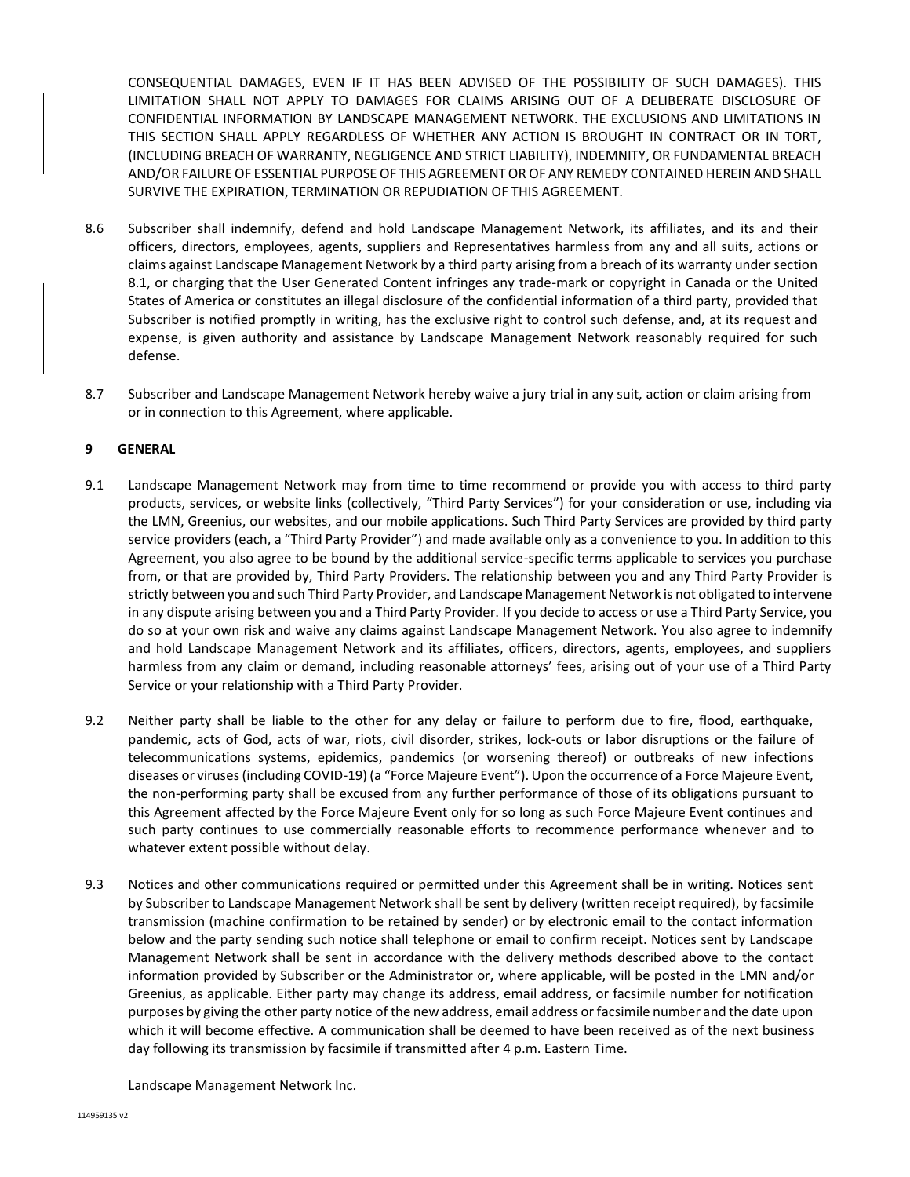CONSEQUENTIAL DAMAGES, EVEN IF IT HAS BEEN ADVISED OF THE POSSIBILITY OF SUCH DAMAGES). THIS LIMITATION SHALL NOT APPLY TO DAMAGES FOR CLAIMS ARISING OUT OF A DELIBERATE DISCLOSURE OF CONFIDENTIAL INFORMATION BY LANDSCAPE MANAGEMENT NETWORK. THE EXCLUSIONS AND LIMITATIONS IN THIS SECTION SHALL APPLY REGARDLESS OF WHETHER ANY ACTION IS BROUGHT IN CONTRACT OR IN TORT, (INCLUDING BREACH OF WARRANTY, NEGLIGENCE AND STRICT LIABILITY), INDEMNITY, OR FUNDAMENTAL BREACH AND/OR FAILURE OF ESSENTIAL PURPOSE OF THIS AGREEMENT OR OF ANY REMEDY CONTAINED HEREIN AND SHALL SURVIVE THE EXPIRATION, TERMINATION OR REPUDIATION OF THIS AGREEMENT.

- 8.6 Subscriber shall indemnify, defend and hold Landscape Management Network, its affiliates, and its and their officers, directors, employees, agents, suppliers and Representatives harmless from any and all suits, actions or claims against Landscape Management Network by a third party arising from a breach of its warranty under section 8.1, or charging that the User Generated Content infringes any trade-mark or copyright in Canada or the United States of America or constitutes an illegal disclosure of the confidential information of a third party, provided that Subscriber is notified promptly in writing, has the exclusive right to control such defense, and, at its request and expense, is given authority and assistance by Landscape Management Network reasonably required for such defense.
- 8.7 Subscriber and Landscape Management Network hereby waive a jury trial in any suit, action or claim arising from or in connection to this Agreement, where applicable.

## **9 GENERAL**

- 9.1 Landscape Management Network may from time to time recommend or provide you with access to third party products, services, or website links (collectively, "Third Party Services") for your consideration or use, including via the LMN, Greenius, our websites, and our mobile applications. Such Third Party Services are provided by third party service providers (each, a "Third Party Provider") and made available only as a convenience to you. In addition to this Agreement, you also agree to be bound by the additional service-specific terms applicable to services you purchase from, or that are provided by, Third Party Providers. The relationship between you and any Third Party Provider is strictly between you and such Third Party Provider, and Landscape Management Network is not obligated to intervene in any dispute arising between you and a Third Party Provider. If you decide to access or use a Third Party Service, you do so at your own risk and waive any claims against Landscape Management Network. You also agree to indemnify and hold Landscape Management Network and its affiliates, officers, directors, agents, employees, and suppliers harmless from any claim or demand, including reasonable attorneys' fees, arising out of your use of a Third Party Service or your relationship with a Third Party Provider.
- 9.2 Neither party shall be liable to the other for any delay or failure to perform due to fire, flood, earthquake, pandemic, acts of God, acts of war, riots, civil disorder, strikes, lock-outs or labor disruptions or the failure of telecommunications systems, epidemics, pandemics (or worsening thereof) or outbreaks of new infections diseases or viruses (including COVID-19) (a "Force Majeure Event"). Upon the occurrence of a Force Majeure Event, the non-performing party shall be excused from any further performance of those of its obligations pursuant to this Agreement affected by the Force Majeure Event only for so long as such Force Majeure Event continues and such party continues to use commercially reasonable efforts to recommence performance whenever and to whatever extent possible without delay.
- 9.3 Notices and other communications required or permitted under this Agreement shall be in writing. Notices sent by Subscriber to Landscape Management Network shall be sent by delivery (written receipt required), by facsimile transmission (machine confirmation to be retained by sender) or by electronic email to the contact information below and the party sending such notice shall telephone or email to confirm receipt. Notices sent by Landscape Management Network shall be sent in accordance with the delivery methods described above to the contact information provided by Subscriber or the Administrator or, where applicable, will be posted in the LMN and/or Greenius, as applicable. Either party may change its address, email address, or facsimile number for notification purposes by giving the other party notice of the new address, email address or facsimile number and the date upon which it will become effective. A communication shall be deemed to have been received as of the next business day following its transmission by facsimile if transmitted after 4 p.m. Eastern Time.

Landscape Management Network Inc.